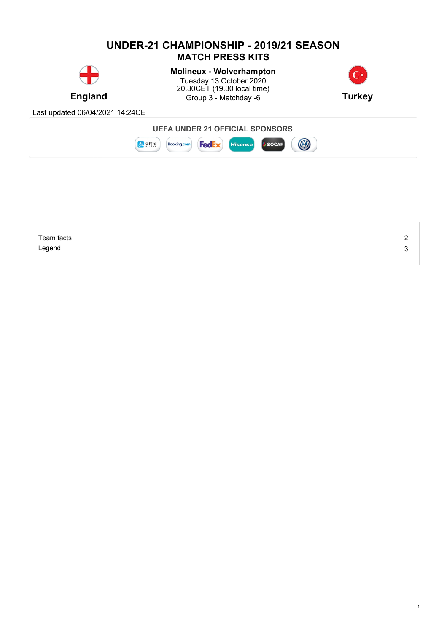## **UNDER-21 CHAMPIONSHIP - 2019/21 SEASON MATCH PRESS KITS**



**England** Group 3 - Matchday -6 **Turkey Molineux - Wolverhampton** Tuesday 13 October 2020 20.30CET (19.30 local time)



1

Last updated 06/04/2021 14:24CET



| Team facts | ⌒ |
|------------|---|
| Legend     |   |
|            |   |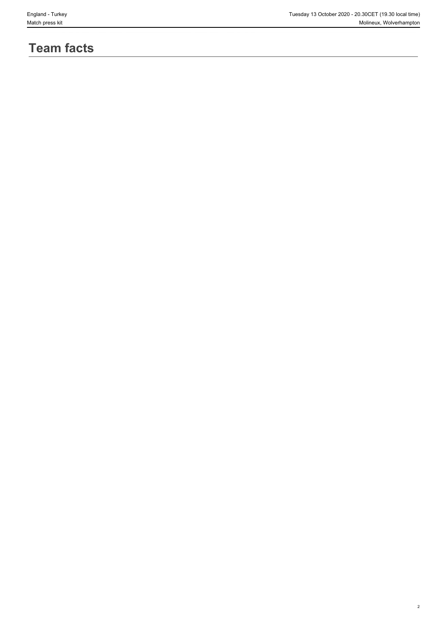# **Team facts**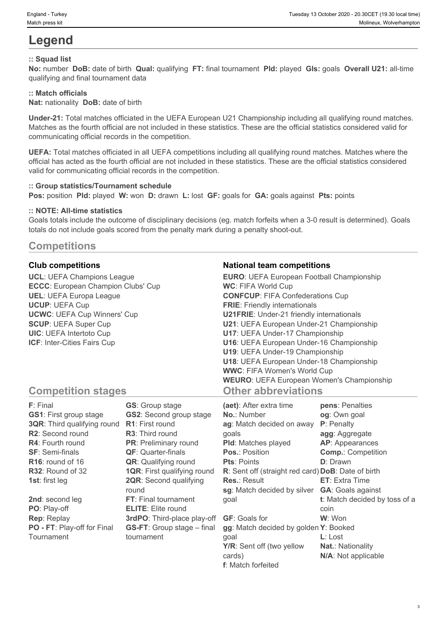## **Legend**

#### **:: Squad list**

**No:** number **DoB:** date of birth **Qual:** qualifying **FT:** final tournament **Pld:** played **Gls:** goals **Overall U21:** all-time qualifying and final tournament data

#### **:: Match officials**

**Nat:** nationality **DoB:** date of birth

**Under-21:** Total matches officiated in the UEFA European U21 Championship including all qualifying round matches. Matches as the fourth official are not included in these statistics. These are the official statistics considered valid for communicating official records in the competition.

**UEFA:** Total matches officiated in all UEFA competitions including all qualifying round matches. Matches where the official has acted as the fourth official are not included in these statistics. These are the official statistics considered valid for communicating official records in the competition.

#### **:: Group statistics/Tournament schedule**

**Pos:** position **Pld:** played **W:** won **D:** drawn **L:** lost **GF:** goals for **GA:** goals against **Pts:** points

#### **:: NOTE: All-time statistics**

Goals totals include the outcome of disciplinary decisions (eg. match forfeits when a 3-0 result is determined). Goals totals do not include goals scored from the penalty mark during a penalty shoot-out.

### **Competitions**

**UCL**: UEFA Champions League **ECCC**: European Champion Clubs' Cup **UEL**: UEFA Europa League **UCUP**: UEFA Cup **UCWC**: UEFA Cup Winners' Cup **SCUP**: UEFA Super Cup **UIC**: UEFA Intertoto Cup **ICF**: Inter-Cities Fairs Cup

#### **Club competitions National team competitions**

| <b>EURO:</b> UEFA European Football Championship |  |
|--------------------------------------------------|--|
| <b>WC: FIFA World Cup</b>                        |  |
| <b>CONFCUP: FIFA Confederations Cup</b>          |  |
| <b>FRIE:</b> Friendly internationals             |  |
| <b>U21FRIE:</b> Under-21 friendly internationals |  |
| U21: UEFA European Under-21 Championship         |  |
| U17: UEFA Under-17 Championship                  |  |
| U16: UEFA European Under-16 Championship         |  |
| U19: UEFA Under-19 Championship                  |  |
| U18: UEFA European Under-18 Championship         |  |
| <b>WWC: FIFA Women's World Cup</b>               |  |
| <b>WEURO: UEFA European Women's Championship</b> |  |
| <b>Other abbreviations</b>                       |  |

## **Competition stages**

| F: Final                           | <b>GS:</b> Group stage             | (aet): After extra time                            | pens: Penalties               |
|------------------------------------|------------------------------------|----------------------------------------------------|-------------------------------|
| <b>GS1: First group stage</b>      | <b>GS2:</b> Second group stage     | <b>No.: Number</b>                                 | og: Own goal                  |
| <b>3QR:</b> Third qualifying round | <b>R1:</b> First round             | ag: Match decided on away                          | P: Penalty                    |
| R2: Second round                   | <b>R3:</b> Third round             | qoals                                              | agg: Aggregate                |
| <b>R4: Fourth round</b>            | PR: Preliminary round              | <b>PId:</b> Matches played                         | AP: Appearances               |
| <b>SF: Semi-finals</b>             | <b>QF:</b> Quarter-finals          | Pos.: Position                                     | <b>Comp.: Competition</b>     |
| R <sub>16</sub> : round of 16      | <b>QR:</b> Qualifying round        | <b>Pts: Points</b>                                 | <b>D</b> : Drawn              |
| R32: Round of 32                   | <b>1QR:</b> First qualifying round | R: Sent off (straight red card) DoB: Date of birth |                               |
| <b>1st:</b> first leg              | <b>2QR:</b> Second qualifying      | <b>Res.: Result</b>                                | <b>ET:</b> Extra Time         |
|                                    | round                              | sg: Match decided by silver                        | <b>GA: Goals against</b>      |
| 2nd: second leg                    | <b>FT:</b> Final tournament        | goal                                               | t: Match decided by toss of a |
| PO: Play-off                       | <b>ELITE:</b> Elite round          |                                                    | coin                          |
| <b>Rep: Replay</b>                 | 3rdPO: Third-place play-off        | <b>GF:</b> Goals for                               | W: Won                        |
| PO - FT: Play-off for Final        | <b>GS-FT:</b> Group stage – final  | gg: Match decided by golden Y: Booked              |                               |
| Tournament                         | tournament                         | qoal                                               | $L:$ Lost                     |
|                                    |                                    | Y/R: Sent off (two yellow                          | <b>Nat.: Nationality</b>      |
|                                    |                                    | cards)                                             | N/A: Not applicable           |

**f**: Match forfeited